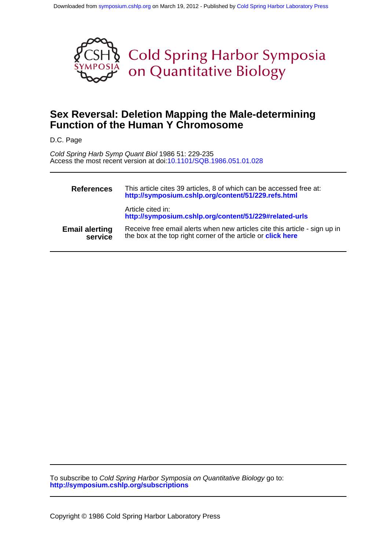

# **Function of the Human Y Chromosome Sex Reversal: Deletion Mapping the Male-determining**

D.C. Page

Access the most recent version at doi[:10.1101/SQB.1986.051.01.028](http://symposium.cshlp.org/lookup/doi/10.1101/SQB.1986.051.01.028) Cold Spring Harb Symp Quant Biol 1986 51: 229-235

| <b>References</b>                | This article cites 39 articles, 8 of which can be accessed free at:<br>http://symposium.cshlp.org/content/51/229.refs.html                 |
|----------------------------------|--------------------------------------------------------------------------------------------------------------------------------------------|
|                                  | Article cited in:<br>http://symposium.cshlp.org/content/51/229#related-urls                                                                |
| <b>Email alerting</b><br>service | Receive free email alerts when new articles cite this article - sign up in<br>the box at the top right corner of the article or click here |

**<http://symposium.cshlp.org/subscriptions>** To subscribe to Cold Spring Harbor Symposia on Quantitative Biology go to: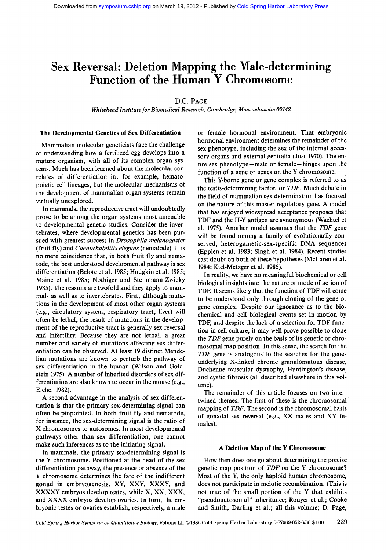# **Sex Reversal: Deletion Mapping the Male-determining Function of the Human Y Chromosome**

# D.C. PAGE

*Whitehead Institute for Biomedical Research, Cambridge, Massachusetts 02142* 

# **The Developmental Genetics of Sex Differentiation**

Mammalian molecular geneticists face the challenge of understanding how a fertilized egg develops into a mature organism, with all of its complex organ systems. Much has been learned about the molecular correlates of differentiation in, for example, hematopoietic cell lineages, but the molecular mechanisms of the development of mammalian organ systems remain virtually unexplored.

In mammals, the reproductive tract will undoubtedly prove to be among the organ systems most amenable to developmental genetic studies. Consider the invertebrates, where developmental genetics has been pursued with greatest success in *Drosophila melanogaster*  (fruit fly) and *Caenorhabditis elegans* (nematode). It is no mere coincidence that, in both fruit fly and nematode, the best understood developmental pathway is sex differentiation (Belote et al. 1985; Hodgkin et al. 1985; Maine et al. 1985; Nothiger and Steinmann-Zwicky 1985). The reasons are twofold and they apply to mammals as well as to invertebrates. First, although mutations in the development of most other organ systems (e.g., circulatory system, respiratory tract, liver) will often be lethal, the result of mutations in the development of the reproductive tract is generally sex reversal and infertility. Because they are not lethal, a great number and variety of mutations affecting sex differentiation can be observed. At least 19 distinct Mendelian mutations are known to perturb the pathway of sex differentiation in the human (Wilson and Goldstein 1975). A number of inherited disorders of sex differentiation are also known to occur in the mouse (e.g., Eicher 1982).

A second advantage in the analysis of sex differentiation is that the primary sex-determining signal can often be pinpointed. In both fruit fly and nematode, for instance, the sex-determining signal is the ratio of X chromosomes to autosomes. In most developmental pathways other than sex differentiation, one cannot make such inferences as to the initiating signal.

In mammals, the primary sex-determining signal is the Y chromosome. Positioned at the head of the sex differentiation pathway, the presence or absence of the Y chromosome determines the fate of the indifferent gonad in embryogenesis. XY, XXY, XXXY, and XXXXY embryos develop testes, while X, XX, XXX, and XXXX embryos develop ovaries. In turn, the embryonic testes or ovaries establish, respectively, a male

or female hormonal environment. That embryonic hormonal environment determines the remainder of the sex phenotype, including the sex of the internal accessory organs and external genitalia (Jost 1970). The entire sex phenotype-male or female-hinges upon the function of a gene or genes on the Y chromosome.

This Y-borne gene or gene complex is referred to as the testis-determining factor, or *TDF.* Much debate in the field of mammalian sex determination has focused on the nature of this master regulatory gene. A model that has enjoyed widespread acceptance proposes that TDF and the H-Y antigen are synonymous (Wachtel et al. 1975). Another model assumes that the *TDF* gene will be found among a family of evolutionarily conserved, heterogametic-sex-specific DNA sequences (Epplen et al. 1983; Singh et al. 1984). Recent studies cast doubt on both of these hypotheses (McLaren et al. 1984; Kiel-Metzger et al. 1985).

In reality, we have no meaningful biochemical or cell biological insights into the nature or mode of action of TDE It seems likely that the function of TDF will come to be understood only through cloning of the gene or gene complex. Despite our ignorance as to the biochemical and cell biological events set in motion by TDF, and despite the lack of a selection for TDF function in cell culture, it may well prove possible to clone the *TDF* gene purely on the basis of its genetic or chromosomal map position. In this sense, the search for the *TDF* gene is analogous to the searches for the genes underlying X-linked chronic granulomatous disease, Duchenne muscular dystrophy, Huntington's disease, and cystic fibrosis (all described elsewhere in this volume).

The remainder of this article focuses on two intertwined themes. The first of these is the chromosomal mapping of *TDF.* The second is the chromosomal basis of gonadal sex reversal (e.g., XX males and XY females).

## **A Deletion Map of the Y Chromosome**

How then does one go about determining the precise genetic map position of *TDF* on the Y chromosome? Most of the Y, the only haploid human chromosome, does not participate in meiotic recombination. (This is not true of the small portion of the Y that exhibits "pseudoautosomal" inheritance; Rouyer et al.; Cooke and Smith; Darling et al.; all this volume; D. Page,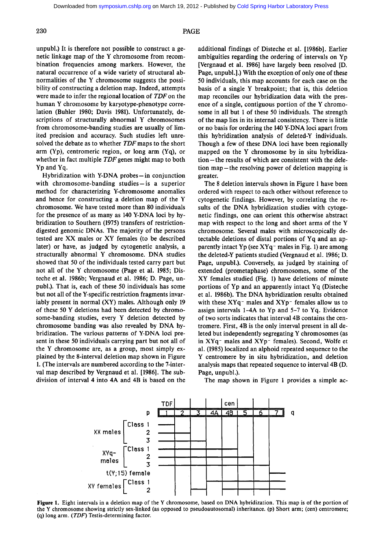230 PAGE

unpubl.) It is therefore not possible to construct a genetic linkage map of the Y chromosome from recombination frequencies among markers. However, the natural occurrence of a wide variety of structural abnormalities of the Y chromosome suggests the possibility of constructing a deletion map. Indeed, attempts were made to infer the regional location of *TDF* on the human Y chromosome by karyotype-phenotype correlation (Buhler 1980; Davis 1981). Unfortunately, descriptions of structurally abnormal Y chromosomes from chromosome-banding studies are usually of limited precision and accuracy. Such studies left unresolved the debate as to whether *TDFmaps* to the short arm (Yp), centromeric region, or long arm (Yq), or whether in fact multiple *TDF* genes might map to both Yp and Yq.

Hybridization with Y-DNA probes-in conjunction with chromosome-banding studies-is a superior method for characterizing Y-chromosome anomalies and hence for constructing a deletion map of the Y chromosome. We have tested more than 80 individuals for the presence of as many as 140 Y-DNA loci by hybridization to Southern (1975) transfers of restrictiondigested genomic DNAs. The majority of the persons tested are XX males or XY females (to be described later) or have, as judged by cytogenetic analysis, a structurally abnormal Y chromosome. DNA studies showed that 50 of the individuals tested carry part but not all of the Y chromosome (Page et al. 1985; Disteche et al. 1986b; Vergnaud et al. 1986; D. Page, unpubl.). That is, each of these 50 individuals has some but not all of the Y-specific restriction fragments invariably present in normal (XY) males. Although only 19 of these 50 Y deletions had been detected by chromosome-banding studies, every Y deletion detected by chromosome banding was also revealed by DNA hybridization. The various patterns of Y-DNA loci present in these 50 individuals carrying part but not all of the Y chromosome are, as a group, most simply explained by the 8-interval deletion map shown in Figure 1. (The intervals are numbered according to the 7-interval map described by Vergnaud et al. [1986]. The subdivision of interval 4 into 4A and 4B is based on the

additional findings of Disteche et al. [1986b]. Earlier ambiguities regarding the ordering of intervals on Yp [Vergnaud et al. 1986] have largely been resolved [D. Page, unpubl.].) With the exception of only one of these 50 individuals, this map accounts for each case on the basis of a single Y breakpoint; that is, this deletion map reconciles our hybridization data with the presence of a single, contiguous portion of the Y chromosome in all but 1 of these 50 individuals. The strength of the map lies in its internal consistency. There is little or no basis for ordering the 140 Y-DNA loci apart from this hybridization analysis of deleted-Y individuals. Though a few of these DNA loci have been regionally mapped on the Y chromosome by in situ hybridization- the results of which are consistent with the deletion map-the resolving power of deletion mapping is greater.

The 8 deletion intervals shown in Figure 1 have been ordered with respect to each other without reference to cytogenetic findings. However, by correlating the results of the DNA hybridization studies with cytogenetic findings, one can orient this otherwise abstract map with respect to the long and short arms of the Y chromosome. Several males with microscopically detectable deletions of distal portions of Yq and an apparently intact  $Yp$  (see  $XYq$  males in Fig. 1) are among the deleted-Y patients studied (Vergnaud et al. 1986; D. Page, unpubl.). Conversely, as judged by staining of extended (prometaphase) chromosomes, some of the XY females studied (Fig. 1) have deletions of minute portions of Yp and an apparently intact Yq (Disteche et al. 1986b). The DNA hybridization results obtained with these  $XYq$ <sup>-</sup> males and  $XYp$ <sup>-</sup> females allow us to assign intervals 1-4A to Yp and 5-7 to Yq. Evidence of two sorts indicates that interval 4B contains the centromere. First, 4B is the only interval present in all deleted but independently segregating Y chromosomes (as in XYq- males and XYp- females). Second, Wolfe et al. (1985) localized an alphoid repeated sequence to the Y centromere by in situ hybridization, and deletion analysis maps that repeated sequence to interval 4B (D. Page, unpubl.).



The map shown in Figure 1 provides a simple ac-

**Figure** 1. Eight intervals in a deletion map of the Y chromosome, based on DNA hybridization. This map is of the portion of the Y chromosome showing strictly sex-linked (as opposed to pseudoautosomal) inheritance. (p) Short arm; (cen) centromere; (q) long arm. *(TDF)* Testis-determining factor.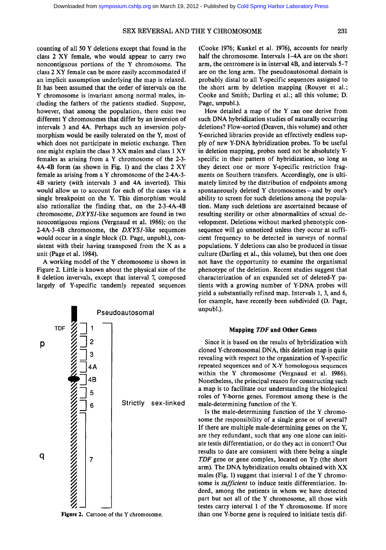# SEX REVERSAL AND THE Y CHROMOSOME 231

counting of all 50 Y deletions except that found in the class 2 XY female, who would appear to carry two noncontiguous portions of the Y chromosome. The class 2 XY female can be more easily accommodated if an implicit assumption underlying the map is relaxed. It has been assumed that the order of intervals on the Y chromosome is invariant among normal males, including the fathers of the patients studied. Suppose, however, that among the population, there exist two different Y chromosomes that differ by an inversion of intervals 3 and 4A. Perhaps such an inversion polymorphism would be easily tolerated on the Y, most of which does not participate in meiotic exchange. Then one might explain the class 3 XX males and class 1 XY females as arising from a Y chromosome of the 2-3- 4A-4B form (as shown in Fig. 1) and the class 2 XY female as arising from a Y chromosome of the 2-4A-3- 4B variety (with intervals 3 and 4A inverted). This would allow us to account for each of the cases via a single breakpoint on the Y. This dimorphism would also rationalize the finding that, on the 2-3-4A-4B chromosome, *DXYSl-like* sequences are found in two noncontiguous regions (Vergnaud et al. 1986); on the 2-4A-3-4B chromosome, the *DXYSI-like* sequences would occur in a single block (D. Page, unpubl.), consistent with their having transposed from the  $X$  as a unit (Page et al. 1984).

A working model of the Y chromosome is shown in Figure 2. Little is known about the physical size of the 8 deletion invervals, except that interval 7, composed largely of Y-specific tandemly repeated sequences



**Figure** 2. Cartoon of the Y chromosome.

(Cooke 1976; Kunkel et al. 1976), accounts for nearly half the chromosome. Intervals 1-4A are on the short arm, the centromere is in interval 4B, and intervals 5-7 are on the long arm. The pseudoautosomal domain is probably distal to all Y-specific sequences assigned to the short arm by deletion mapping (Rouyer et al.; Cooke and Smith; Darling et al.; all this volume; D. Page, unpubl.).

How detailed a map of the Y can one derive from such DNA hybridization studies of naturally occurring deletions? Flow-sorted (Deaven, this volume) and other Y-enriched libraries provide an effectively endless supply of new Y-DNA hybridization probes. To be useful in deletion mapping, probes need not be absolutely Yspecific in their pattern of hybridization, so long as they detect one or more Y-specific restriction fragments on Southern transfers. Accordingly, one is ultimately limited by the distribution of endpoints among spontaneously deleted Y chromosomes-and by one's ability to screen for such deletions among the population. Many such deletions are ascertained because of resulting sterility or other abnormalities of sexual development. Deletions without marked phenotypic consequence will go unnoticed unless they occur at sufficient frequency to be detected in surveys of normal populations. Y deletions can also be produced in tissue culture (Darling et al., this volume), but then one does not have the opportunity to examine the organismal phenotype of the deletion. Recent studies suggest that characterization of an expanded set of deleted-Y patients with a growing number of Y-DNA probes will yield a substantially refined map. Intervals 1, 3, and 6, for example, have recently been subdivided (D. Page, unpubl.).

# **Mapping** *TDF* **and Other Genes**

Since it is based on the results of hybridization with cloned Y-chromosomal DNA, this deletion map is quite revealing with respect to the organization of Y-specific repeated sequences and of X-Y homologous sequences within the Y chromosome (Vergnaud et al. 1986). Nonetheless, the principal reason for constructing such a map is to facilitate our understanding the biological roles of Y-borne genes. Foremost among these is the male-determining function of the Y.

Is the male-determining function of the Y chromosome the responsibility of a single gene or of several? If there are multiple male-determining genes on the Y, are they redundant, such that any one alone can initiate testis differentiation, or do they act in concert? Our results to date are consistent with there being a single *TDF* gene or gene complex, located on Yp (the short arm). The DNA hybridization results obtained with XX males (Fig. 1) suggest that interval 1 of the Y chromosome is *sufficient* to induce testis differentiation. Indeed, among the patients in whom we have detected part but not all of the Y chromosome, all those with testes carry interval 1 of the Y chromosome. If more than one Y-borne gene is required to initiate testis dif-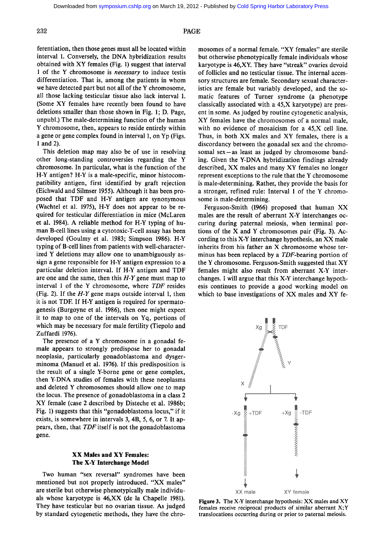232 PAGE

ferentiation, then those genes must all be located within interval 1. Conversely, the DNA hybridization results obtained with XY females (Fig. 1) suggest that interval 1 of the Y chromosome is *necessary* to induce testis differentiation. That is, among the patients in whom we have detected part but not all of the Y chromosome, all those lacking testicular tissue also lack interval 1. (Some XY females have recently been found to have deletions smaller than those shown in Fig. 1; D. Page, unpubl.) The male-determining function of the human Y chromosome, then, appears to reside entirely within a gene or gene complex found in interval 1, on Yp (Figs. 1 and 2).

This deletion map may also be of use in resolving other long-standing controversies regarding the Y chromosome. In particular, what is the function of the H-Y antigen? H-Y is a male-specific, minor histocompatibility antigen, first identified by graft rejection (Eichwald and Silmser 1955). Although it has been proposed that TDF and H-Y antigen are synonymous (Wachtel et al. 1975), H-Y does not appear to be required for testicular differentiation in mice (McLaren et al. 1984). A reliable method for H-Y typing of human B-cell lines using a cytotoxic-T-cell assay has been developed (Goulmy et al. 1983; Simpson 1986). H-Y typing of B-cell lines from patients with well-characterized Y deletions may allow one to unambiguously assign a gene responsible for H-Y antigen expression to a particular deletion interval. If H-Y antigen and TDF are one and the same, then this *H-Y* gene must map to interval 1 of the Y chromosome, where *TDF* resides (Fig. 2). If the *H-Y* gene maps outside interval 1, then it is not TDE If H-Y antigen is required for spermatogenesis (Burgoyne et al. 1986), then one might expect it to map to one of the intervals on Yq, portions of which may be necessary for male fertility (Tiepolo and Zuffardi 1976).

The presence of a Y chromosome in a gonadal female appears to strongly predispose her to gonadal neoplasia, particularly gonadoblastoma and dysgerminoma (Manuel et al. 1976). If this predisposition is the result of a single Y-borne gene or gene complex, then Y-DNA studies of females with these neoplasms and deleted Y chromosomes should allow one to map the locus. The presence of gonadoblastoma in a class 2 XY female (case 2 described by Disteche et al. 1986b; Fig. 1) suggests that this "gonadoblastoma locus," if it exists, is somewhere in intervals 3, 4B, 5, 6, or 7. It appears, then, that *TDF* itself is not the gonadoblastoma gene.

# **XX Males and XY Females: The X-Y Interchange Model**

Two human "sex reversal" syndromes have been mentioned but not properly introduced. "XX males" are sterile but otherwise phenotypically male individuals whose karyotype is 46,XX (de la Chapelle 1981). They have testicular but no ovarian tissue. As judged by standard cytogenetic methods, they have the chromosomes of a normal female. "XY females" are sterile but otherwise phenotypically female individuals whose karyotype is 46,XY. They have "streak" ovaries devoid of follicles and no testicular tissue. The internal accessory structures are female. Secondary sexual characteristics are female but variably developed, and the somatic features of Turner syndrome (a phenotype classically associated with a 45,X karyotype) are present in some. As judged by routine cytogenetic analysis, XY females have the chromosomes of a normal male, with no evidence of mosaicism for a 45, X cell line. Thus, in both XX males and XY females, there is a discordancy between the gonadal sex and the chromosomal sex-as least as judged by chromosome banding. Given the Y-DNA hybridization findings already described, XX males and many XY females no longer represent exceptions to the rule that the Y chromosome is male.determining. Rather, they provide the basis for a stronger, refined rule: Interval 1 of the Y chromosome is male-determining.

Ferguson-Smith (1966) proposed that human XX males are the result of aberrant X-Y interchanges occuring during paternal meiosis, when terminal portions of the X and Y chromosomes pair (Fig. 3). According to this X-Y interchange hypothesis, an XX male inherits from his father an X chromosome whose terminus has been replaced by a *TDF-bearing* portion of the Y chromosome. Ferguson-Smith suggested that XY females might also result from aberrant X-Y interchanges. I will argue that this X-Y interchange hypothesis continues to provide a good working model on which to base investigations of XX males and XY fe-



**Figure** 3. The X-Y interchange hypothesis: XX males and XY females receive reciprocal products of similar aberrant X;Y translocations occurring during or prior to paternal meiosis.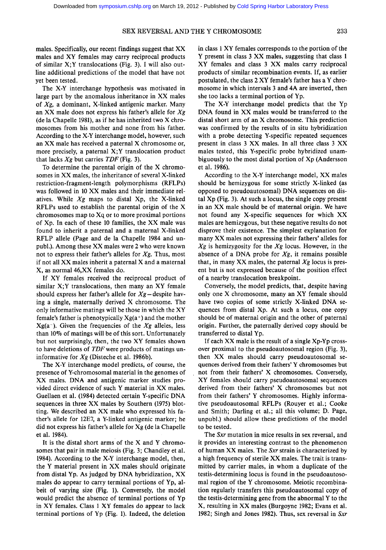# SEX REVERSAL AND THE Y CHROMOSOME 233

males. Specifically, our recent findings suggest that XX males and XY females may carry reciprocal products of similar X;Y translocations (Fig. 3). I will also outline additional predictions of the model that have not yet been tested.

The X-Y interchange hypothesis was motivated in large part by the anomalous inheritance in XX males of *Xg,* a dominant, X-linked antigenic marker. Many an XX male does not express his father's allele for *Xg*  (de la Chapelle 1981), as if he has inherited two X chromosomes from his mother and none from his father. According to the X-Y interchange model, however, such an XX male has received a paternal X chromosome or, more precisely, a paternal X;Y translocation product that lacks *Xg* but carries *TDF* (Fig. 3).

To determine the parental origin of the X chromosomes in XX males, the inheritance of several X-linked restriction-fragment-length polymorphisms (RFLPs) was followed in 10 XX males and their immediate relatives. While *Xg* maps to distal Xp, the X-linked RFLPs used to establish the parental origin of the X chromosomes map to Xq or to more proximal portions of Xp. In each of these 10 families, the XX male was found to inherit a paternal and a maternal X-linked RFLP allele (Page and de la Chapelle 1984 and unpubl.). Among these XX males were 2 who were known not to express their father's alleles for *Xg.* Thus, most if not all XX males inherit a paternal X and a maternal X, as normal 46,XX females do.

If XY females received the reciprocal product of similar X;Y translocations, then many an XY female should express her father's allele for *Xg-despite* having a single, maternally derived X chromosome. The only informative matings will be those in which the XY female's father is phenotypically  $Xg(a^+)$  and the mother  $Xg(a^-)$ . Given the frequencies of the  $Xg$  alleles, less than 10% of matings will be of this sort. Unfortunately but not surprisingly, then, the two XY females shown to have deletions of *TDF* were products of matings uninformative for *Xg* (Disteche et al. 1986b).

The X-Y interchange model predicts, of course, the presence of Y-chromosomal material in the genomes of XX males. DNA and antigenic marker studies provided direct evidence of such Y material in XX males. Guellaen et al. (1984) detected certain Y-specific DNA sequences in three XX males by Southern (1975) blotting. We described an XX male who expressed his father's allele for 12E7, a Y-linked antigenic marker; he did not express his father's allele for Xg (de la Chapelle et al. 1984).

It is the distal short arms of the X and Y chromosomes that pair in male meiosis (Fig. 3; Chandley et al. 1984). According to the X-Y interchange model, then, the Y material present in XX males should originate from distal Yp. As judged by DNA hybridization, XX males do appear to carry terminal portions of Yp, albeit of varying size (Fig. 1). Conversely, the model would predict the absence of terminal portions of Yp in XY females. Class 1 XY females do appear to lack terminal portions of Yp (Fig. 1). Indeed, the deletion in class 1 XY females corresponds to the portion of the Y present in class 3 XX males, suggesting that class 1 XY females and class 3 XX males carry reciprocal products of similar recombination events. If, as earlier postulated, the class 2 XY female's father has a Y chromosome in which intervals 3 and 4A are inverted, then she too lacks a terminal portion of Yp.

The X-Y interchange model predicts that the Yp DNA found in XX males would be transferred to the distal short arm of an X chromosome. This prediction was confirmed by the results of in situ hybridization with a probe detecting Y-specific repeated sequences present in class 3 XX males. In all three class 3 XX males tested, this Y-specific probe hybridized unambiguously to the most distal portion of Xp (Andersson et al. 1986).

According to the X-Y interchange model, XX males should be hemizygous for some strictly X-linked (as opposed to pseudoautosomal) DNA sequences on distal Xp (Fig. 3). At such a locus, the single copy present in an XX male should be of maternal origin. We have not found any X-specific sequences for which XX males are hemizygous, but these negative results do not disprove their existence. The simplest explanation for many XX males not expressing their fathers' alleles for *Xg* is hemizygosity for the *Xg* locus. However, in the absence of a DNA probe for *Xg,* it remains possible that, in many XX males, the paternal *Xg* locus is present but is not expressed because of the position effect of a nearby translocation breakpoint.

Conversely, the model predicts, that, despite having only one X chromosome, many an XY female should have two copies of some strictly X-linked DNA sequences from distal Xp. At such a locus, one copy should be of maternal origin and the other of paternal origin. Further, the paternally derived copy should be transferred to distal Yp.

If each XX male is the result of a single Xp-Yp crossover proximal to the pseudoautosomal region (Fig. 3), then XX males should carry pseudoautosomal sequences derived from their fathers' Y chromosomes but not from their fathers' X chromosomes. Conversely, XY females should carry pseudoautosomal sequences derived from their fathers' X chromosomes but not from their fathers' Y chromosomes. Highly informative pseudoautosomal RFLPs (Rouyer et al.; Cooke and Smith; Darling et al.; all this volume; D. Page, unpubl.) should allow these predictions of the model to be tested.

The *Sxr* mutation in mice results in sex reversal, and it provides an interesting contrast to the phenomenon of human XX males. The *Sxr* strain is characterized by a high frequency of sterile XX males. The trait is transmitted by carrier males, in whom a duplicate of the testis-determining locus is found in the pseudoautosomal region of the Y chromosome. Meiotic recombination regularly transfers this pseudoautosomal copy of the testis-determining gene from the abnormal Y to the X, resulting in XX males (Burgoyne 1982; Evans et al. 1982; Singh and Jones 1982). Thus, sex reversal in *Sxr*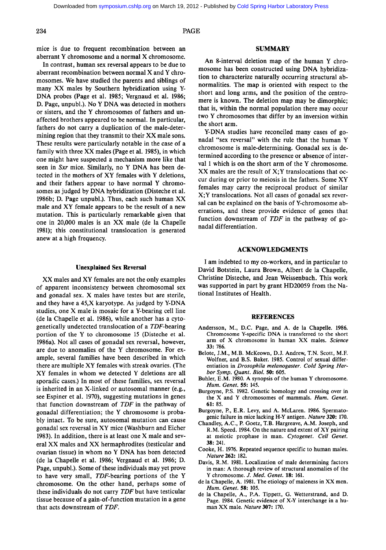mice is due to frequent recombination between an aberrant Y chromosome and a normal X chromosome.

In contrast, human sex reversal appears to be due to aberrant recombination between normal X and Y chromosomes. We have studied the parents and siblings of many XX males by Southern hybridization using Y-DNA probes (Page et al. 1985; Vergnaud et al. 1986; D. Page, unpubl.). No Y DNA was detected in mothers or sisters, and the Y chromosomes of fathers and unaffected brothers appeared to be normal. In particular, fathers do not carry a duplication of the male-determining region that they transmit to their XX male sons. These results were particularly notable in the case of a family with three XX males (Page et al. 1985), in which one might have suspected a mechanism more like that seen in *Sxr* mice. Similarly, no Y DNA has been detected in the mothers of XY females with Y deletions, and their fathers appear to have normal Y chromosomes as judged by DNA hybridization (Disteche et al. 1986b; D. Page unpubl.). Thus, each such human XX male and XY female appears to be the result of a new mutation. This is particularly remarkable given that one in 20,000 males is an XX male (de la Chapelle 1981); this constitutional translocation is generated anew at a high frequency.

## **Unexplained Sex Reversal**

XX males and XY females are not the only examples of apparent inconsistency between chromosomal sex and gonadal sex. X males have testes but are sterile, and they have a 45,X karyotype. As judged by Y-DNA studies, one X male is mosaic for a Y-bearing cell line (de la Chapelle et al. 1986), while another has a cytogenetically undetected translocation of a *TDF-bearing*  portion of the Y to chromosome 15 (Disteche et al. 1986a). Not all cases of gonadal sex reversal, however, are due to anomalies of the Y chromosome. For example, several families have been described in which there are multiple XY females with streak ovaries. (The XY females in whom we detected Y deletions are all sporadic cases.) In most of these families, sex reversal is inherited in an X-linked or autosomal manner (e.g., see Espiner et al. 1970), suggesting mutations in genes that function downstream of *TDF* in the pathway of gonadal differentiation; the Y chromosome is probably intact. To be sure, autosomal mutation can cause gonadal sex reversal in XY mice (Washburn and Eicher 1983). In addition, there is at least one X male and several XX males and XX hermaphrodites (testicular and ovarian tissue) in whom no Y DNA has been detected (de la Chapelle et al. 1986; Vergnaud et al. 1986; D. Page, unpubl.). Some of these individuals may yet prove to have very small, *TDF-bearing* portions of the Y chromosome. On the other hand, perhaps some of these individuals do not carry *TDF* but have testicular tissue because of a gain-of-function mutation in a gene that acts downstream of *TDF.* 

## **SUMMARY**

An 8-interval deletion map of the human Y chromosome has been constructed using DNA hybridization to characterize naturally occurring structural abnormalities. The map is oriented with respect to the short and long arms, and the position of the centromere is known. The deletion map may be dimorphic; that is, within the normal population there may occur two Y chromosomes that differ by an inversion within the short arm.

Y-DNA studies have reconciled many cases of gonadal "sex reversal" with the rule that the human Y chromosome is male-determining. Gonadal sex is determined according to the presence or absence of interval 1 which is on the short arm of the Y chromosome. XX males are the result of X;Y translocations that occur during or prior to meiosis in the fathers. Some XY females may carry the reciprocal product of similar X;Y translocations. Not all cases of gonadal sex reversal can be explained on the basis of Y-chromosome aberrations, and these provide evidence of genes that function downstream of *TDF* in the pathway of gonadal differentiation.

# **ACKNOWLEDGMENTS**

I am indebted to my co-workers, and in particular to David Botstein, Laura Brown, Albert de la Chapelle, Christine Disteche, and Jean Weissenbach. This work was supported in part by grant HD20059 from the National Institutes of Health.

### **REFERENCES**

- Andersson, M., D.C. Page, and A. de la Chapelle. 1986. Chromosome Y-specific DNA is transferred to the short arm of X chromosome in human XX males. *Science*  33: 786.
- Belote, J.M., M.B. McKeown, D.J. Andrew, T.N. Scott, M.F. Wolfner, and B.S. Baker. 1985. Control of sexual differentiation in *Drosophila melanogaster. Cold Spring Harbor Syrup. Quant. Biol.* 50: 605.
- Buhler, E.M. 1980. A synopsis of the human Y chromosome. *Hum. Genet.* 55: 145.
- Burgoyne, P.S. 1982. Genetic homology and crossing over in the X and Y chromosomes of mammals. *Hum. Genet.*  61: 85.
- Burgoyne, P., E.R. Levy, and A. McLaren. 1986. Spermatogenic failure in mice lacking H-Y antigen. *Nature* 320: 170.
- Chandley, A.C., P. Goetz, T.B. Hargreave, A.M. Joseph, and R.M. Speed. 1984. On the nature and extent of XY pairing at meiotic prophase in man. *Cytogenet. Cell Genet.*  **38:** 241.
- Cooke, H. 1976. Repeated sequence specific to human males. *Nature* 262: 182.
- Davis, R.M. 1981. Localization of male determining factors in man: A thorough review of structural anomalies of the Y chromosome. J. *Med. Genet.* 18: 161.
- de la Chapelle, A. 1981. The etiology of maleness in XX men. *Hum. Genet.* 58: 105.
- de la Chapelle, A., P.A. Tippett, G. Wetterstrand, and D. Page. 1984. Genetic evidence of X-Y interchange in a human XX male. *Nature* 307: 170.